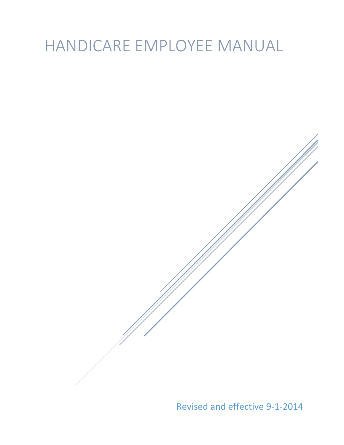# HANDICARE EMPLOYEE MANUAL

Revised and effective 9-1-2014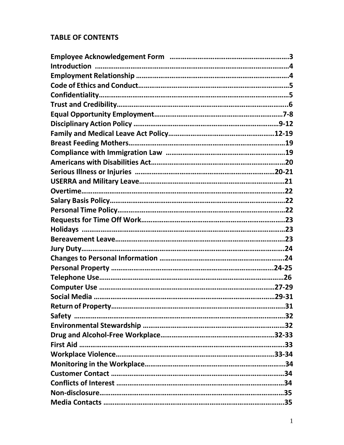# **TABLE OF CONTENTS**

| Jury Duty……………………………………………………………………………………………24 |  |
|------------------------------------------------|--|
|                                                |  |
|                                                |  |
|                                                |  |
|                                                |  |
|                                                |  |
|                                                |  |
|                                                |  |
|                                                |  |
|                                                |  |
|                                                |  |
|                                                |  |
|                                                |  |
|                                                |  |
|                                                |  |
|                                                |  |
|                                                |  |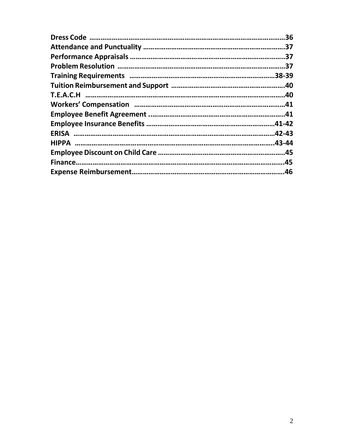| .36 |
|-----|
|     |
|     |
|     |
|     |
|     |
|     |
|     |
|     |
|     |
|     |
|     |
|     |
|     |
|     |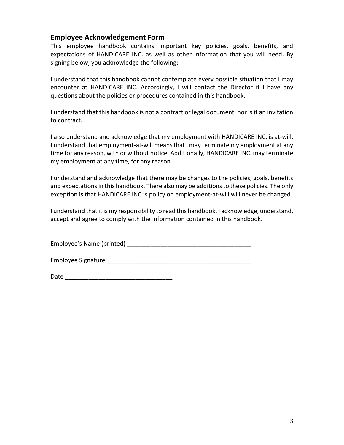## **Employee Acknowledgement Form**

This employee handbook contains important key policies, goals, benefits, and expectations of HANDICARE INC. as well as other information that you will need. By signing below, you acknowledge the following:

I understand that this handbook cannot contemplate every possible situation that I may encounter at HANDICARE INC. Accordingly, I will contact the Director if I have any questions about the policies or procedures contained in this handbook.

I understand that this handbook is not a contract or legal document, nor is it an invitation to contract.

I also understand and acknowledge that my employment with HANDICARE INC. is at-will. I understand that employment-at-will means that I may terminate my employment at any time for any reason, with or without notice. Additionally, HANDICARE INC. may terminate my employment at any time, for any reason.

I understand and acknowledge that there may be changes to the policies, goals, benefits and expectations in this handbook. There also may be additions to these policies. The only exception is that HANDICARE INC.'s policy on employment-at-will will never be changed.

I understand that it is my responsibility to read this handbook. I acknowledge, understand, accept and agree to comply with the information contained in this handbook.

Employee's Name (printed) \_\_\_\_\_\_\_\_\_\_\_\_\_\_\_\_\_\_\_\_\_\_\_\_\_\_\_\_\_\_\_\_\_\_\_\_\_

Employee Signature \_\_\_\_\_\_\_\_\_\_\_\_\_\_\_\_\_\_\_\_\_\_\_\_\_\_\_\_\_\_\_\_\_\_\_\_\_\_\_\_\_\_\_

|--|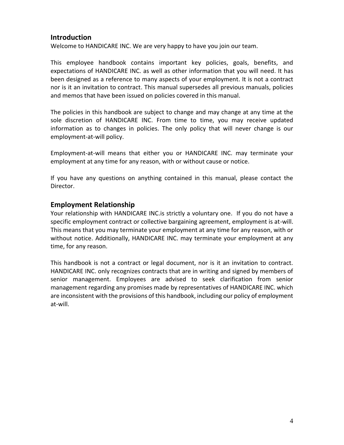## **Introduction**

Welcome to HANDICARE INC. We are very happy to have you join our team.

This employee handbook contains important key policies, goals, benefits, and expectations of HANDICARE INC. as well as other information that you will need. It has been designed as a reference to many aspects of your employment. It is not a contract nor is it an invitation to contract. This manual supersedes all previous manuals, policies and memos that have been issued on policies covered in this manual.

The policies in this handbook are subject to change and may change at any time at the sole discretion of HANDICARE INC. From time to time, you may receive updated information as to changes in policies. The only policy that will never change is our employment-at-will policy.

Employment-at-will means that either you or HANDICARE INC. may terminate your employment at any time for any reason, with or without cause or notice.

If you have any questions on anything contained in this manual, please contact the Director.

## **Employment Relationship**

Your relationship with HANDICARE INC.is strictly a voluntary one. If you do not have a specific employment contract or collective bargaining agreement, employment is at-will. This means that you may terminate your employment at any time for any reason, with or without notice. Additionally, HANDICARE INC. may terminate your employment at any time, for any reason.

This handbook is not a contract or legal document, nor is it an invitation to contract. HANDICARE INC. only recognizes contracts that are in writing and signed by members of senior management. Employees are advised to seek clarification from senior management regarding any promises made by representatives of HANDICARE INC. which are inconsistent with the provisions of this handbook, including our policy of employment at-will.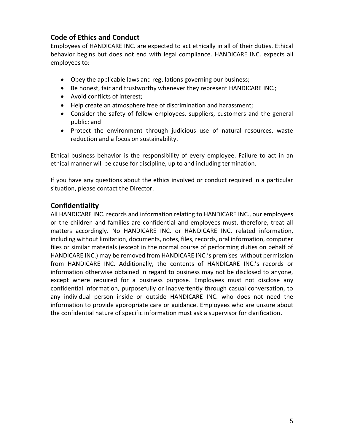# **Code of Ethics and Conduct**

Employees of HANDICARE INC. are expected to act ethically in all of their duties. Ethical behavior begins but does not end with legal compliance. HANDICARE INC. expects all employees to:

- Obey the applicable laws and regulations governing our business;
- Be honest, fair and trustworthy whenever they represent HANDICARE INC.;
- Avoid conflicts of interest;
- Help create an atmosphere free of discrimination and harassment;
- Consider the safety of fellow employees, suppliers, customers and the general public; and
- Protect the environment through judicious use of natural resources, waste reduction and a focus on sustainability.

Ethical business behavior is the responsibility of every employee. Failure to act in an ethical manner will be cause for discipline, up to and including termination.

If you have any questions about the ethics involved or conduct required in a particular situation, please contact the Director.

## **Confidentiality**

All HANDICARE INC. records and information relating to HANDICARE INC., our employees or the children and families are confidential and employees must, therefore, treat all matters accordingly. No HANDICARE INC. or HANDICARE INC. related information, including without limitation, documents, notes, files, records, oral information, computer files or similar materials (except in the normal course of performing duties on behalf of HANDICARE INC.) may be removed from HANDICARE INC.'s premises without permission from HANDICARE INC. Additionally, the contents of HANDICARE INC.'s records or information otherwise obtained in regard to business may not be disclosed to anyone, except where required for a business purpose. Employees must not disclose any confidential information, purposefully or inadvertently through casual conversation, to any individual person inside or outside HANDICARE INC. who does not need the information to provide appropriate care or guidance. Employees who are unsure about the confidential nature of specific information must ask a supervisor for clarification.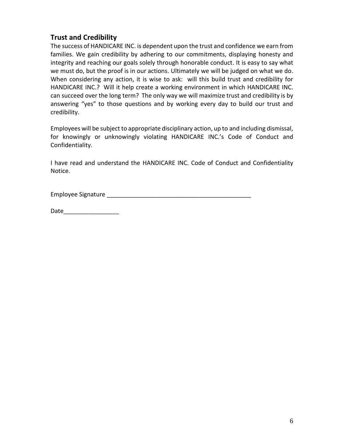# **Trust and Credibility**

The success of HANDICARE INC. is dependent upon the trust and confidence we earn from families. We gain credibility by adhering to our commitments, displaying honesty and integrity and reaching our goals solely through honorable conduct. It is easy to say what we must do, but the proof is in our actions. Ultimately we will be judged on what we do. When considering any action, it is wise to ask: will this build trust and credibility for HANDICARE INC.? Will it help create a working environment in which HANDICARE INC. can succeed over the long term? The only way we will maximize trust and credibility is by answering "yes" to those questions and by working every day to build our trust and credibility.

Employees will be subject to appropriate disciplinary action, up to and including dismissal, for knowingly or unknowingly violating HANDICARE INC.'s Code of Conduct and Confidentiality.

I have read and understand the HANDICARE INC. Code of Conduct and Confidentiality Notice.

Employee Signature \_\_\_\_\_\_\_\_\_\_\_\_\_\_\_\_\_\_\_\_\_\_\_\_\_\_\_\_\_\_\_\_\_\_\_\_\_\_\_\_\_\_\_

Date and the set of  $\sim$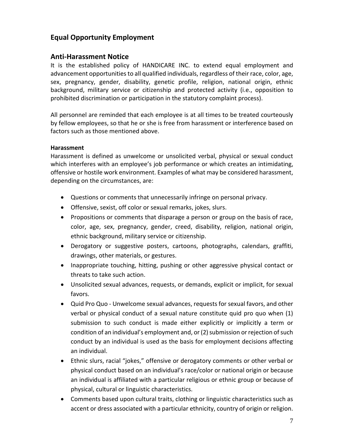# **Equal Opportunity Employment**

## **Anti-Harassment Notice**

It is the established policy of HANDICARE INC. to extend equal employment and advancement opportunities to all qualified individuals, regardless of their race, color, age, sex, pregnancy, gender, disability, genetic profile, religion, national origin, ethnic background, military service or citizenship and protected activity (i.e., opposition to prohibited discrimination or participation in the statutory complaint process).

All personnel are reminded that each employee is at all times to be treated courteously by fellow employees, so that he or she is free from harassment or interference based on factors such as those mentioned above.

#### **Harassment**

Harassment is defined as unwelcome or unsolicited verbal, physical or sexual conduct which interferes with an employee's job performance or which creates an intimidating, offensive or hostile work environment. Examples of what may be considered harassment, depending on the circumstances, are:

- Questions or comments that unnecessarily infringe on personal privacy.
- Offensive, sexist, off color or sexual remarks, jokes, slurs.
- Propositions or comments that disparage a person or group on the basis of race, color, age, sex, pregnancy, gender, creed, disability, religion, national origin, ethnic background, military service or citizenship.
- Derogatory or suggestive posters, cartoons, photographs, calendars, graffiti, drawings, other materials, or gestures.
- Inappropriate touching, hitting, pushing or other aggressive physical contact or threats to take such action.
- Unsolicited sexual advances, requests, or demands, explicit or implicit, for sexual favors.
- Quid Pro Quo Unwelcome sexual advances, requests for sexual favors, and other verbal or physical conduct of a sexual nature constitute quid pro quo when (1) submission to such conduct is made either explicitly or implicitly a term or condition of an individual's employment and, or (2) submission or rejection of such conduct by an individual is used as the basis for employment decisions affecting an individual.
- Ethnic slurs, racial "jokes," offensive or derogatory comments or other verbal or physical conduct based on an individual's race/color or national origin or because an individual is affiliated with a particular religious or ethnic group or because of physical, cultural or linguistic characteristics.
- Comments based upon cultural traits, clothing or linguistic characteristics such as accent or dress associated with a particular ethnicity, country of origin or religion.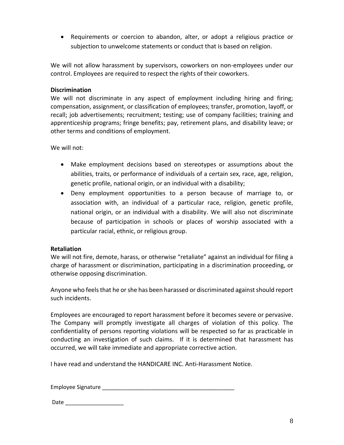Requirements or coercion to abandon, alter, or adopt a religious practice or subjection to unwelcome statements or conduct that is based on religion.

We will not allow harassment by supervisors, coworkers on non-employees under our control. Employees are required to respect the rights of their coworkers.

#### **Discrimination**

We will not discriminate in any aspect of employment including hiring and firing; compensation, assignment, or classification of employees; transfer, promotion, layoff, or recall; job advertisements; recruitment; testing; use of company facilities; training and apprenticeship programs; fringe benefits; pay, retirement plans, and disability leave; or other terms and conditions of employment.

We will not:

- Make employment decisions based on stereotypes or assumptions about the abilities, traits, or performance of individuals of a certain sex, race, age, religion, genetic profile, national origin, or an individual with a disability;
- Deny employment opportunities to a person because of marriage to, or association with, an individual of a particular race, religion, genetic profile, national origin, or an individual with a disability. We will also not discriminate because of participation in schools or places of worship associated with a particular racial, ethnic, or religious group.

#### **Retaliation**

We will not fire, demote, harass, or otherwise "retaliate" against an individual for filing a charge of harassment or discrimination, participating in a discrimination proceeding, or otherwise opposing discrimination.

Anyone who feels that he or she has been harassed or discriminated against should report such incidents.

Employees are encouraged to report harassment before it becomes severe or pervasive. The Company will promptly investigate all charges of violation of this policy. The confidentiality of persons reporting violations will be respected so far as practicable in conducting an investigation of such claims. If it is determined that harassment has occurred, we will take immediate and appropriate corrective action.

I have read and understand the HANDICARE INC. Anti-Harassment Notice.

Employee Signature \_\_\_\_\_\_\_\_\_\_\_\_\_\_\_\_\_\_\_\_\_\_\_\_\_\_\_\_\_\_\_\_\_\_\_\_\_\_\_\_\_\_\_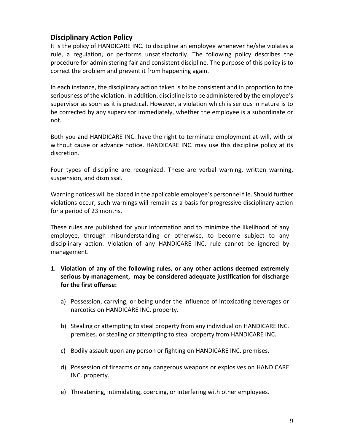# **Disciplinary Action Policy**

It is the policy of HANDICARE INC. to discipline an employee whenever he/she violates a rule, a regulation, or performs unsatisfactorily. The following policy describes the procedure for administering fair and consistent discipline. The purpose of this policy is to correct the problem and prevent it from happening again.

In each instance, the disciplinary action taken is to be consistent and in proportion to the seriousness of the violation. In addition, discipline is to be administered by the employee's supervisor as soon as it is practical. However, a violation which is serious in nature is to be corrected by any supervisor immediately, whether the employee is a subordinate or not.

Both you and HANDICARE INC. have the right to terminate employment at-will, with or without cause or advance notice. HANDICARE INC. may use this discipline policy at its discretion.

Four types of discipline are recognized. These are verbal warning, written warning, suspension, and dismissal.

Warning notices will be placed in the applicable employee's personnel file. Should further violations occur, such warnings will remain as a basis for progressive disciplinary action for a period of 23 months.

These rules are published for your information and to minimize the likelihood of any employee, through misunderstanding or otherwise, to become subject to any disciplinary action. Violation of any HANDICARE INC. rule cannot be ignored by management.

- **1. Violation of any of the following rules, or any other actions deemed extremely serious by management, may be considered adequate justification for discharge for the first offense:**
	- a) Possession, carrying, or being under the influence of intoxicating beverages or narcotics on HANDICARE INC. property.
	- b) Stealing or attempting to steal property from any individual on HANDICARE INC. premises*,* or stealing or attempting to steal property from HANDICARE INC.
	- c) Bodily assault upon any person or fighting on HANDICARE INC. premises.
	- d) Possession of firearms or any dangerous weapons or explosives on HANDICARE INC. property.
	- e) Threatening, intimidating, coercing, or interfering with other employees.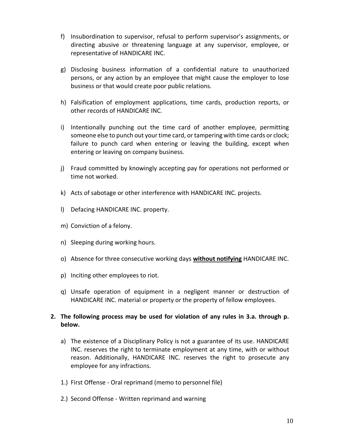- f) Insubordination to supervisor, refusal to perform supervisor's assignments, or directing abusive or threatening language at any supervisor, employee, or representative of HANDICARE INC.
- g) Disclosing business information of a confidential nature to unauthorized persons, or any action by an employee that might cause the employer to lose business or that would create poor public relations.
- h) Falsification of employment applications, time cards, production reports, or other records of HANDICARE INC.
- i) Intentionally punching out the time card of another employee, permitting someone else to punch out your time card, or tampering with time cards or clock; failure to punch card when entering or leaving the building, except when entering or leaving on company business.
- j) Fraud committed by knowingly accepting pay for operations not performed or time not worked.
- k) Acts of sabotage or other interference with HANDICARE INC. projects.
- l) Defacing HANDICARE INC. property.
- m) Conviction of a felony.
- n) Sleeping during working hours.
- o) Absence for three consecutive working days **without notifying** HANDICARE INC.
- p) Inciting other employees to riot.
- q) Unsafe operation of equipment in a negligent manner or destruction of HANDICARE INC. material or property or the property of fellow employees.

## **2. The following process may be used for violation of any rules in 3.a. through p. below.**

- a) The existence of a Disciplinary Policy is not a guarantee of its use. HANDICARE INC. reserves the right to terminate employment at any time, with or without reason. Additionally, HANDICARE INC. reserves the right to prosecute any employee for any infractions.
- 1.) First Offense Oral reprimand (memo to personnel file)
- 2.) Second Offense Written reprimand and warning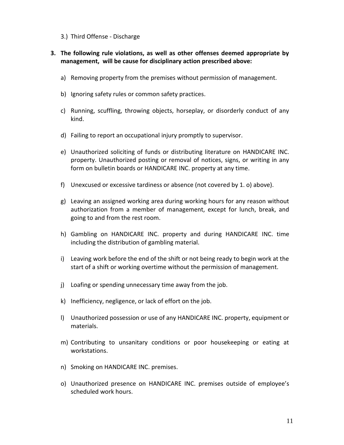3.) Third Offense - Discharge

## **3. The following rule violations, as well as other offenses deemed appropriate by management, will be cause for disciplinary action prescribed above:**

- a) Removing property from the premises without permission of management.
- b) Ignoring safety rules or common safety practices.
- c) Running, scuffling, throwing objects, horseplay, or disorderly conduct of any kind.
- d) Failing to report an occupational injury promptly to supervisor.
- e) Unauthorized soliciting of funds or distributing literature on HANDICARE INC. property. Unauthorized posting or removal of notices, signs, or writing in any form on bulletin boards or HANDICARE INC. property at any time.
- f) Unexcused or excessive tardiness or absence (not covered by 1. o) above).
- g) Leaving an assigned working area during working hours for any reason without authorization from a member of management, except for lunch, break, and going to and from the rest room.
- h) Gambling on HANDICARE INC. property and during HANDICARE INC. time including the distribution of gambling material.
- i) Leaving work before the end of the shift or not being ready to begin work at the start of a shift or working overtime without the permission of management.
- j) Loafing or spending unnecessary time away from the job.
- k) Inefficiency, negligence, or lack of effort on the job.
- l) Unauthorized possession or use of any HANDICARE INC. property, equipment or materials.
- m) Contributing to unsanitary conditions or poor housekeeping or eating at workstations.
- n) Smoking on HANDICARE INC. premises.
- o) Unauthorized presence on HANDICARE INC. premises outside of employee's scheduled work hours.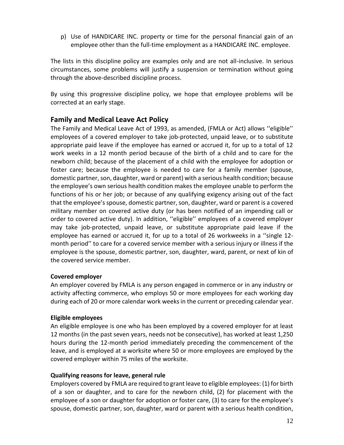p) Use of HANDICARE INC. property or time for the personal financial gain of an employee other than the full-time employment as a HANDICARE INC. employee.

The lists in this discipline policy are examples only and are not all-inclusive. In serious circumstances, some problems will justify a suspension or termination without going through the above-described discipline process.

By using this progressive discipline policy, we hope that employee problems will be corrected at an early stage.

## **Family and Medical Leave Act Policy**

The Family and Medical Leave Act of 1993, as amended, (FMLA or Act) allows ''eligible'' employees of a covered employer to take job-protected, unpaid leave, or to substitute appropriate paid leave if the employee has earned or accrued it, for up to a total of 12 work weeks in a 12 month period because of the birth of a child and to care for the newborn child; because of the placement of a child with the employee for adoption or foster care; because the employee is needed to care for a family member (spouse, domestic partner, son, daughter, ward or parent) with a serious health condition; because the employee's own serious health condition makes the employee unable to perform the functions of his or her job; or because of any qualifying exigency arising out of the fact that the employee's spouse, domestic partner, son, daughter, ward or parent is a covered military member on covered active duty (or has been notified of an impending call or order to covered active duty). In addition, ''eligible'' employees of a covered employer may take job-protected, unpaid leave, or substitute appropriate paid leave if the employee has earned or accrued it, for up to a total of 26 workweeks in a ''single 12 month period'' to care for a covered service member with a serious injury or illness if the employee is the spouse, domestic partner, son, daughter, ward, parent, or next of kin of the covered service member.

## **Covered employer**

An employer covered by FMLA is any person engaged in commerce or in any industry or activity affecting commerce, who employs 50 or more employees for each working day during each of 20 or more calendar work weeks in the current or preceding calendar year.

## **Eligible employees**

An eligible employee is one who has been employed by a covered employer for at least 12 months (in the past seven years, needs not be consecutive), has worked at least 1,250 hours during the 12-month period immediately preceding the commencement of the leave, and is employed at a worksite where 50 or more employees are employed by the covered employer within 75 miles of the worksite.

## **Qualifying reasons for leave, general rule**

Employers covered by FMLA are required to grant leave to eligible employees: (1) for birth of a son or daughter, and to care for the newborn child, (2) for placement with the employee of a son or daughter for adoption or foster care, (3) to care for the employee's spouse, domestic partner, son, daughter, ward or parent with a serious health condition,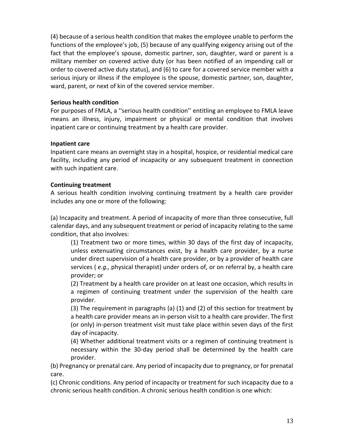(4) because of a serious health condition that makes the employee unable to perform the functions of the employee's job, (5) because of any qualifying exigency arising out of the fact that the employee's spouse, domestic partner, son, daughter, ward or parent is a military member on covered active duty (or has been notified of an impending call or order to covered active duty status), and (6) to care for a covered service member with a serious injury or illness if the employee is the spouse, domestic partner, son, daughter, ward, parent, or next of kin of the covered service member.

## **Serious health condition**

For purposes of FMLA, a ''serious health condition'' entitling an employee to FMLA leave means an illness, injury, impairment or physical or mental condition that involves inpatient care or continuing treatment by a health care provider.

## **Inpatient care**

Inpatient care means an overnight stay in a hospital, hospice, or residential medical care facility, including any period of incapacity or any subsequent treatment in connection with such inpatient care.

## **Continuing treatment**

A serious health condition involving continuing treatment by a health care provider includes any one or more of the following:

(a) Incapacity and treatment. A period of incapacity of more than three consecutive, full calendar days, and any subsequent treatment or period of incapacity relating to the same condition, that also involves:

(1) Treatment two or more times, within 30 days of the first day of incapacity, unless extenuating circumstances exist, by a health care provider, by a nurse under direct supervision of a health care provider, or by a provider of health care services ( *e.g.,* physical therapist) under orders of, or on referral by, a health care provider; or

(2) Treatment by a health care provider on at least one occasion, which results in a regimen of continuing treatment under the supervision of the health care provider.

(3) The requirement in paragraphs (a) (1) and (2) of this section for treatment by a health care provider means an in-person visit to a health care provider. The first (or only) in-person treatment visit must take place within seven days of the first day of incapacity.

(4) Whether additional treatment visits or a regimen of continuing treatment is necessary within the 30-day period shall be determined by the health care provider.

(b) Pregnancy or prenatal care. Any period of incapacity due to pregnancy, or for prenatal care.

(c) Chronic conditions. Any period of incapacity or treatment for such incapacity due to a chronic serious health condition. A chronic serious health condition is one which: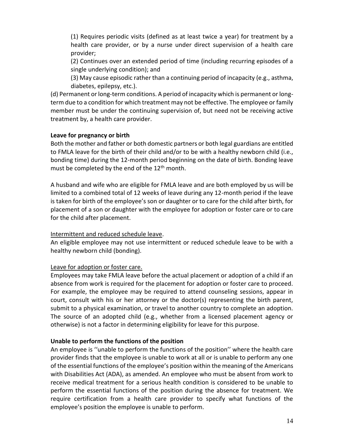(1) Requires periodic visits (defined as at least twice a year) for treatment by a health care provider, or by a nurse under direct supervision of a health care provider;

(2) Continues over an extended period of time (including recurring episodes of a single underlying condition); and

(3) May cause episodic rather than a continuing period of incapacity (e.g., asthma, diabetes, epilepsy, etc.).

(d) Permanent or long-term conditions. A period of incapacity which is permanent or longterm due to a condition for which treatment may not be effective. The employee or family member must be under the continuing supervision of, but need not be receiving active treatment by, a health care provider.

## **Leave for pregnancy or birth**

Both the mother and father or both domestic partners or both legal guardians are entitled to FMLA leave for the birth of their child and/or to be with a healthy newborn child (i.e., bonding time) during the 12-month period beginning on the date of birth. Bonding leave must be completed by the end of the  $12<sup>th</sup>$  month.

A husband and wife who are eligible for FMLA leave and are both employed by us will be limited to a combined total of 12 weeks of leave during any 12-month period if the leave is taken for birth of the employee's son or daughter or to care for the child after birth, for placement of a son or daughter with the employee for adoption or foster care or to care for the child after placement.

## Intermittent and reduced schedule leave.

An eligible employee may not use intermittent or reduced schedule leave to be with a healthy newborn child (bonding).

## Leave for adoption or foster care.

Employees may take FMLA leave before the actual placement or adoption of a child if an absence from work is required for the placement for adoption or foster care to proceed. For example, the employee may be required to attend counseling sessions, appear in court, consult with his or her attorney or the doctor(s) representing the birth parent, submit to a physical examination, or travel to another country to complete an adoption. The source of an adopted child (e.g., whether from a licensed placement agency or otherwise) is not a factor in determining eligibility for leave for this purpose.

## **Unable to perform the functions of the position**

An employee is ''unable to perform the functions of the position'' where the health care provider finds that the employee is unable to work at all or is unable to perform any one of the essential functions of the employee's position within the meaning of the Americans with Disabilities Act (ADA), as amended. An employee who must be absent from work to receive medical treatment for a serious health condition is considered to be unable to perform the essential functions of the position during the absence for treatment. We require certification from a health care provider to specify what functions of the employee's position the employee is unable to perform.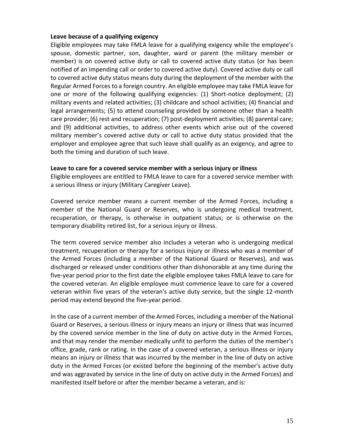#### **Leave because of a qualifying exigency**

Eligible employees may take FMLA leave for a qualifying exigency while the employee's spouse, domestic partner, son, daughter, ward or parent (the military member or member) is on covered active duty or call to covered active duty status (or has been notified of an impending call or order to covered active duty). Covered active duty or call to covered active duty status means duty during the deployment of the member with the Regular Armed Forces to a foreign country. An eligible employee may take FMLA leave for one or more of the following qualifying exigencies: (1) Short-notice deployment; (2) military events and related activities; (3) childcare and school activities; (4) financial and legal arrangements; (5) to attend counseling provided by someone other than a health care provider; (6) rest and recuperation; (7) post-deployment activities; (8) parental care; and (9) additional activities, to address other events which arise out of the covered military member's covered active duty or call to active duty status provided that the employer and employee agree that such leave shall qualify as an exigency, and agree to both the timing and duration of such leave.

#### **Leave to care for a covered service member with a serious injury or illness**

Eligible employees are entitled to FMLA leave to care for a covered service member with a serious illness or injury (Military Caregiver Leave).

Covered service member means a current member of the Armed Forces, including a member of the National Guard or Reserves, who is undergoing medical treatment, recuperation, or therapy, is otherwise in outpatient status; or is otherwise on the temporary disability retired list, for a serious injury or illness.

The term covered service member also includes a veteran who is undergoing medical treatment, recuperation or therapy for a serious injury or illness who was a member of the Armed Forces (including a member of the National Guard or Reserves), and was discharged or released under conditions other than dishonorable at any time during the five-year period prior to the first date the eligible employee takes FMLA leave to care for the covered veteran. An eligible employee must commence leave to care for a covered veteran within five years of the veteran's active duty service, but the single 12-month period may extend beyond the five-year period.

In the case of a current member of the Armed Forces, including a member of the National Guard or Reserves, a serious illness or injury means an injury or illness that was incurred by the covered service member in the line of duty on active duty in the Armed Forces, and that may render the member medically unfit to perform the duties of the member's office, grade, rank or rating. In the case of a covered veteran, a serious illness or injury means an injury or illness that was incurred by the member in the line of duty on active duty in the Armed Forces (or existed before the beginning of the member's active duty and was aggravated by service in the line of duty on active duty in the Armed Forces) and manifested itself before or after the member became a veteran, and is: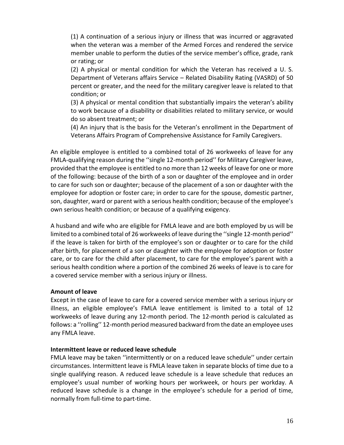(1) A continuation of a serious injury or illness that was incurred or aggravated when the veteran was a member of the Armed Forces and rendered the service member unable to perform the duties of the service member's office, grade, rank or rating; or

(2) A physical or mental condition for which the Veteran has received a U. S. Department of Veterans affairs Service – Related Disability Rating (VASRD) of 50 percent or greater, and the need for the military caregiver leave is related to that condition; or

(3) A physical or mental condition that substantially impairs the veteran's ability to work because of a disability or disabilities related to military service, or would do so absent treatment; or

(4) An injury that is the basis for the Veteran's enrollment in the Department of Veterans Affairs Program of Comprehensive Assistance for Family Caregivers.

An eligible employee is entitled to a combined total of 26 workweeks of leave for any FMLA-qualifying reason during the ''single 12-month period'' for Military Caregiver leave, provided that the employee is entitled to no more than 12 weeks of leave for one or more of the following: because of the birth of a son or daughter of the employee and in order to care for such son or daughter; because of the placement of a son or daughter with the employee for adoption or foster care; in order to care for the spouse, domestic partner, son, daughter, ward or parent with a serious health condition; because of the employee's own serious health condition; or because of a qualifying exigency.

A husband and wife who are eligible for FMLA leave and are both employed by us will be limited to a combined total of 26 workweeks of leave during the ''single 12-month period'' if the leave is taken for birth of the employee's son or daughter or to care for the child after birth, for placement of a son or daughter with the employee for adoption or foster care, or to care for the child after placement, to care for the employee's parent with a serious health condition where a portion of the combined 26 weeks of leave is to care for a covered service member with a serious injury or illness.

#### **Amount of leave**

Except in the case of leave to care for a covered service member with a serious injury or illness, an eligible employee's FMLA leave entitlement is limited to a total of 12 workweeks of leave during any 12-month period. The 12-month period is calculated as follows: a ''rolling'' 12-month period measured backward from the date an employee uses any FMLA leave.

#### **Intermittent leave or reduced leave schedule**

FMLA leave may be taken ''intermittently or on a reduced leave schedule'' under certain circumstances. Intermittent leave is FMLA leave taken in separate blocks of time due to a single qualifying reason. A reduced leave schedule is a leave schedule that reduces an employee's usual number of working hours per workweek, or hours per workday. A reduced leave schedule is a change in the employee's schedule for a period of time, normally from full-time to part-time.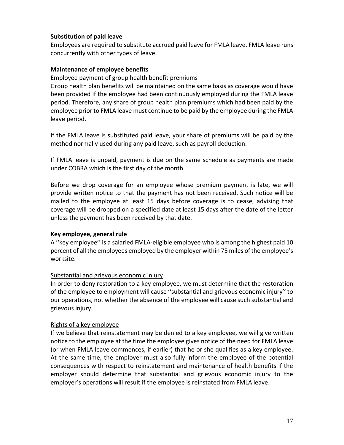## **Substitution of paid leave**

Employees are required to substitute accrued paid leave for FMLA leave. FMLA leave runs concurrently with other types of leave.

#### **Maintenance of employee benefits**

#### Employee payment of group health benefit premiums

Group health plan benefits will be maintained on the same basis as coverage would have been provided if the employee had been continuously employed during the FMLA leave period. Therefore, any share of group health plan premiums which had been paid by the employee prior to FMLA leave must continue to be paid by the employee during the FMLA leave period.

If the FMLA leave is substituted paid leave, your share of premiums will be paid by the method normally used during any paid leave, such as payroll deduction.

If FMLA leave is unpaid, payment is due on the same schedule as payments are made under COBRA which is the first day of the month.

Before we drop coverage for an employee whose premium payment is late, we will provide written notice to that the payment has not been received. Such notice will be mailed to the employee at least 15 days before coverage is to cease, advising that coverage will be dropped on a specified date at least 15 days after the date of the letter unless the payment has been received by that date.

#### **Key employee, general rule**

A ''key employee'' is a salaried FMLA-eligible employee who is among the highest paid 10 percent of all the employees employed by the employer within 75 miles of the employee's worksite.

#### Substantial and grievous economic injury

In order to deny restoration to a key employee, we must determine that the restoration of the employee to employment will cause ''substantial and grievous economic injury'' to our operations, not whether the absence of the employee will cause such substantial and grievous injury.

#### Rights of a key employee

If we believe that reinstatement may be denied to a key employee, we will give written notice to the employee at the time the employee gives notice of the need for FMLA leave (or when FMLA leave commences, if earlier) that he or she qualifies as a key employee. At the same time, the employer must also fully inform the employee of the potential consequences with respect to reinstatement and maintenance of health benefits if the employer should determine that substantial and grievous economic injury to the employer's operations will result if the employee is reinstated from FMLA leave.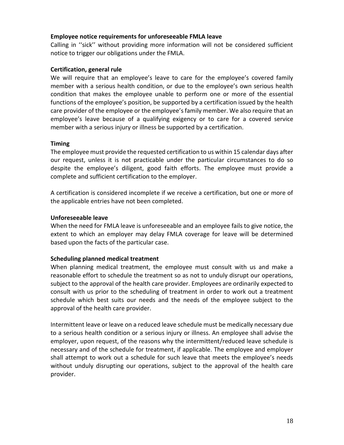#### **Employee notice requirements for unforeseeable FMLA leave**

Calling in ''sick'' without providing more information will not be considered sufficient notice to trigger our obligations under the FMLA.

#### **Certification, general rule**

We will require that an employee's leave to care for the employee's covered family member with a serious health condition, or due to the employee's own serious health condition that makes the employee unable to perform one or more of the essential functions of the employee's position, be supported by a certification issued by the health care provider of the employee or the employee's family member. We also require that an employee's leave because of a qualifying exigency or to care for a covered service member with a serious injury or illness be supported by a certification.

#### **Timing**

The employee must provide the requested certification to us within 15 calendar days after our request, unless it is not practicable under the particular circumstances to do so despite the employee's diligent, good faith efforts. The employee must provide a complete and sufficient certification to the employer.

A certification is considered incomplete if we receive a certification, but one or more of the applicable entries have not been completed.

#### **Unforeseeable leave**

When the need for FMLA leave is unforeseeable and an employee fails to give notice, the extent to which an employer may delay FMLA coverage for leave will be determined based upon the facts of the particular case.

#### **Scheduling planned medical treatment**

When planning medical treatment, the employee must consult with us and make a reasonable effort to schedule the treatment so as not to unduly disrupt our operations, subject to the approval of the health care provider. Employees are ordinarily expected to consult with us prior to the scheduling of treatment in order to work out a treatment schedule which best suits our needs and the needs of the employee subject to the approval of the health care provider.

Intermittent leave or leave on a reduced leave schedule must be medically necessary due to a serious health condition or a serious injury or illness. An employee shall advise the employer, upon request, of the reasons why the intermittent/reduced leave schedule is necessary and of the schedule for treatment, if applicable. The employee and employer shall attempt to work out a schedule for such leave that meets the employee's needs without unduly disrupting our operations, subject to the approval of the health care provider.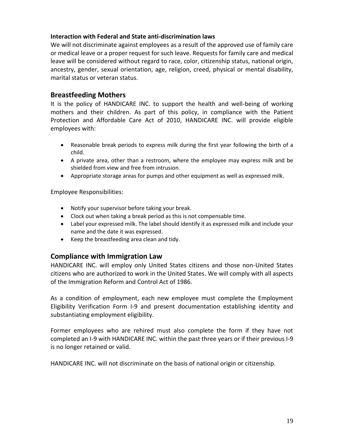#### **Interaction with Federal and State anti-discrimination laws**

We will not discriminate against employees as a result of the approved use of family care or medical leave or a proper request for such leave. Requests for family care and medical leave will be considered without regard to race, color, citizenship status, national origin, ancestry, gender, sexual orientation, age, religion, creed, physical or mental disability, marital status or veteran status.

## **Breastfeeding Mothers**

It is the policy of HANDICARE INC. to support the health and well-being of working mothers and their children. As part of this policy, in compliance with the Patient Protection and Affordable Care Act of 2010, HANDICARE INC. will provide eligible employees with:

- Reasonable break periods to express milk during the first year following the birth of a child.
- A private area, other than a restroom, where the employee may express milk and be shielded from view and free from intrusion.
- Appropriate storage areas for pumps and other equipment as well as expressed milk.

Employee Responsibilities:

- Notify your supervisor before taking your break.
- Clock out when taking a break period as this is not compensable time.
- Label your expressed milk. The label should identify it as expressed milk and include your name and the date it was expressed.
- Keep the breastfeeding area clean and tidy.

## **Compliance with Immigration Law**

HANDICARE INC. will employ only United States citizens and those non-United States citizens who are authorized to work in the United States. We will comply with all aspects of the Immigration Reform and Control Act of 1986.

As a condition of employment, each new employee must complete the Employment Eligibility Verification Form I-9 and present documentation establishing identity and substantiating employment eligibility.

Former employees who are rehired must also complete the form if they have not completed an I-9 with HANDICARE INC. within the past three years or if their previous I-9 is no longer retained or valid.

HANDICARE INC. will not discriminate on the basis of national origin or citizenship.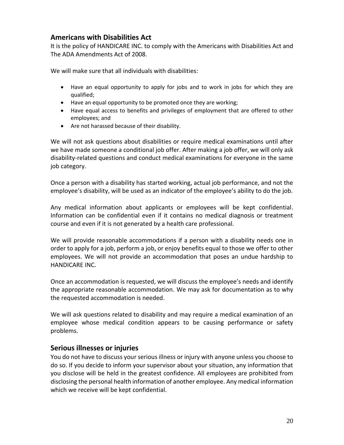# **Americans with Disabilities Act**

It is the policy of HANDICARE INC. to comply with the Americans with Disabilities Act and The ADA Amendments Act of 2008.

We will make sure that all individuals with disabilities:

- Have an equal opportunity to apply for jobs and to work in jobs for which they are qualified;
- Have an equal opportunity to be promoted once they are working;
- Have equal access to benefits and privileges of employment that are offered to other employees; and
- Are not harassed because of their disability.

We will not ask questions about disabilities or require medical examinations until after we have made someone a conditional job offer. After making a job offer, we will only ask disability-related questions and conduct medical examinations for everyone in the same job category.

Once a person with a disability has started working, actual job performance, and not the employee's disability, will be used as an indicator of the employee's ability to do the job.

Any medical information about applicants or employees will be kept confidential. Information can be confidential even if it contains no medical diagnosis or treatment course and even if it is not generated by a health care professional.

We will provide reasonable accommodations if a person with a disability needs one in order to apply for a job, perform a job, or enjoy benefits equal to those we offer to other employees. We will not provide an accommodation that poses an undue hardship to HANDICARE INC.

Once an accommodation is requested, we will discuss the employee's needs and identify the appropriate reasonable accommodation. We may ask for documentation as to why the requested accommodation is needed.

We will ask questions related to disability and may require a medical examination of an employee whose medical condition appears to be causing performance or safety problems.

## **Serious illnesses or injuries**

You do not have to discuss your serious illness or injury with anyone unless you choose to do so. If you decide to inform your supervisor about your situation, any information that you disclose will be held in the greatest confidence. All employees are prohibited from disclosing the personal health information of another employee. Any medical information which we receive will be kept confidential.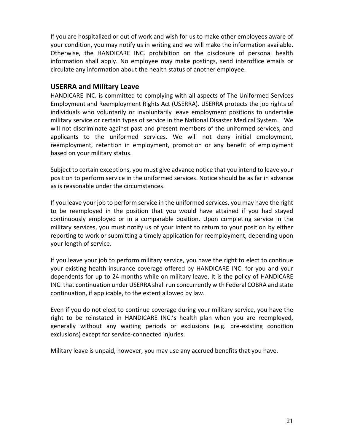If you are hospitalized or out of work and wish for us to make other employees aware of your condition, you may notify us in writing and we will make the information available. Otherwise, the HANDICARE INC. prohibition on the disclosure of personal health information shall apply. No employee may make postings, send interoffice emails or circulate any information about the health status of another employee.

## **USERRA and Military Leave**

HANDICARE INC. is committed to complying with all aspects of The Uniformed Services Employment and Reemployment Rights Act (USERRA). USERRA protects the job rights of individuals who voluntarily or involuntarily leave employment positions to undertake military service or certain types of service in the National Disaster Medical System. We will not discriminate against past and present members of the uniformed services, and applicants to the uniformed services. We will not deny initial employment, reemployment, retention in employment, promotion or any benefit of employment based on your military status.

Subject to certain exceptions, you must give advance notice that you intend to leave your position to perform service in the uniformed services. Notice should be as far in advance as is reasonable under the circumstances.

If you leave your job to perform service in the uniformed services, you may have the right to be reemployed in the position that you would have attained if you had stayed continuously employed or in a comparable position. Upon completing service in the military services, you must notify us of your intent to return to your position by either reporting to work or submitting a timely application for reemployment, depending upon your length of service.

If you leave your job to perform military service, you have the right to elect to continue your existing health insurance coverage offered by HANDICARE INC. for you and your dependents for up to 24 months while on military leave. It is the policy of HANDICARE INC. that continuation under USERRA shall run concurrently with Federal COBRA and state continuation, if applicable, to the extent allowed by law.

Even if you do not elect to continue coverage during your military service, you have the right to be reinstated in HANDICARE INC.'s health plan when you are reemployed, generally without any waiting periods or exclusions (e.g. pre-existing condition exclusions) except for service-connected injuries.

Military leave is unpaid, however, you may use any accrued benefits that you have.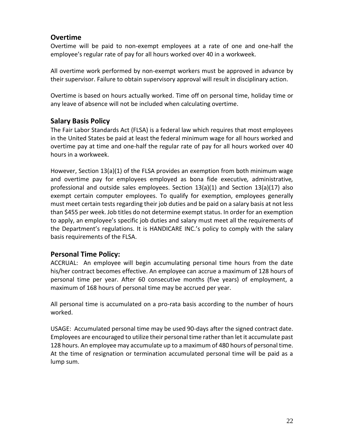# **Overtime**

Overtime will be paid to non-exempt employees at a rate of one and one-half the employee's regular rate of pay for all hours worked over 40 in a workweek.

All overtime work performed by non-exempt workers must be approved in advance by their supervisor. Failure to obtain supervisory approval will result in disciplinary action.

Overtime is based on hours actually worked. Time off on personal time, holiday time or any leave of absence will not be included when calculating overtime.

## **Salary Basis Policy**

The Fair Labor Standards Act (FLSA) is a federal law which requires that most employees in the United States be paid at least the federal minimum wage for all hours worked and overtime pay at time and one-half the regular rate of pay for all hours worked over 40 hours in a workweek.

However, Section 13(a)(1) of the FLSA provides an exemption from both minimum wage and overtime pay for employees employed as bona fide executive*,* administrative*,*  [professional](http://www.dol.gov/esa/whd/regs/compliance/fairpay/fs17d_professional.htm) and [outside sales](http://www.dol.gov/esa/whd/regs/compliance/fairpay/fs17f_outsidesales.htm) employees. Section 13(a)(1) and Section 13(a)(17) also exempt certain [computer](http://www.dol.gov/esa/whd/regs/compliance/fairpay/fs17e_computer.htm) employees. To qualify for exemption, employees generally must meet certain tests regarding their job duties and be paid on a salary basis at not less than \$455 per week. Job titles do not determine exempt status. In order for an exemption to apply, an employee's specific job duties and salary must meet all the requirements of the Department's regulations. It is HANDICARE INC.'s policy to comply with the salary basis requirements of the FLSA.

# **Personal Time Policy:**

ACCRUAL: An employee will begin accumulating personal time hours from the date his/her contract becomes effective. An employee can accrue a maximum of 128 hours of personal time per year. After 60 consecutive months (five years) of employment, a maximum of 168 hours of personal time may be accrued per year.

All personal time is accumulated on a pro-rata basis according to the number of hours worked.

USAGE: Accumulated personal time may be used 90-days after the signed contract date. Employees are encouraged to utilize their personal time rather than let it accumulate past 128 hours. An employee may accumulate up to a maximum of 480 hours of personal time. At the time of resignation or termination accumulated personal time will be paid as a lump sum.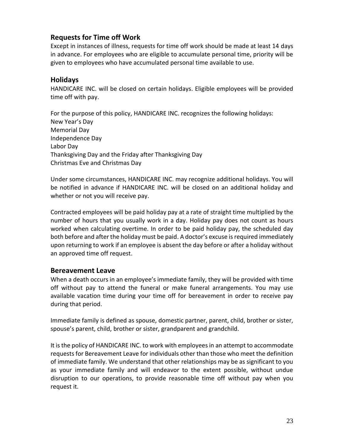# **Requests for Time off Work**

Except in instances of illness, requests for time off work should be made at least 14 days in advance. For employees who are eligible to accumulate personal time, priority will be given to employees who have accumulated personal time available to use.

## **Holidays**

HANDICARE INC. will be closed on certain holidays. Eligible employees will be provided time off with pay.

For the purpose of this policy, HANDICARE INC. recognizes the following holidays: New Year's Day Memorial Day Independence Day Labor Day Thanksgiving Day and the Friday after Thanksgiving Day Christmas Eve and Christmas Day

Under some circumstances, HANDICARE INC. may recognize additional holidays. You will be notified in advance if HANDICARE INC. will be closed on an additional holiday and whether or not you will receive pay.

Contracted employees will be paid holiday pay at a rate of straight time multiplied by the number of hours that you usually work in a day. Holiday pay does not count as hours worked when calculating overtime. In order to be paid holiday pay, the scheduled day both before and after the holiday must be paid. A doctor's excuse is required immediately upon returning to work if an employee is absent the day before or after a holiday without an approved time off request.

## **Bereavement Leave**

When a death occurs in an employee's immediate family, they will be provided with time off without pay to attend the funeral or make funeral arrangements. You may use available vacation time during your time off for bereavement in order to receive pay during that period.

Immediate family is defined as spouse, domestic partner, parent, child, brother or sister, spouse's parent, child, brother or sister, grandparent and grandchild.

It is the policy of HANDICARE INC. to work with employees in an attempt to accommodate requests for Bereavement Leave for individuals other than those who meet the definition of immediate family. We understand that other relationships may be as significant to you as your immediate family and will endeavor to the extent possible, without undue disruption to our operations, to provide reasonable time off without pay when you request it.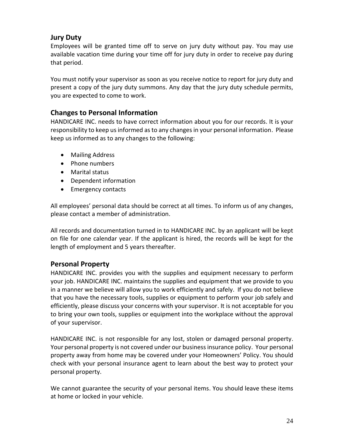# **Jury Duty**

Employees will be granted time off to serve on jury duty without pay. You may use available vacation time during your time off for jury duty in order to receive pay during that period.

You must notify your supervisor as soon as you receive notice to report for jury duty and present a copy of the jury duty summons. Any day that the jury duty schedule permits, you are expected to come to work.

# **Changes to Personal Information**

HANDICARE INC. needs to have correct information about you for our records. It is your responsibility to keep us informed as to any changes in your personal information. Please keep us informed as to any changes to the following:

- Mailing Address
- Phone numbers
- Marital status
- Dependent information
- Emergency contacts

All employees' personal data should be correct at all times. To inform us of any changes, please contact a member of administration.

All records and documentation turned in to HANDICARE INC. by an applicant will be kept on file for one calendar year. If the applicant is hired, the records will be kept for the length of employment and 5 years thereafter.

## **Personal Property**

HANDICARE INC. provides you with the supplies and equipment necessary to perform your job. HANDICARE INC. maintains the supplies and equipment that we provide to you in a manner we believe will allow you to work efficiently and safely. If you do not believe that you have the necessary tools, supplies or equipment to perform your job safely and efficiently, please discuss your concerns with your supervisor. It is not acceptable for you to bring your own tools, supplies or equipment into the workplace without the approval of your supervisor.

HANDICARE INC. is not responsible for any lost, stolen or damaged personal property. Your personal property is not covered under our business insurance policy. Your personal property away from home may be covered under your Homeowners' Policy. You should check with your personal insurance agent to learn about the best way to protect your personal property.

We cannot guarantee the security of your personal items. You should leave these items at home or locked in your vehicle.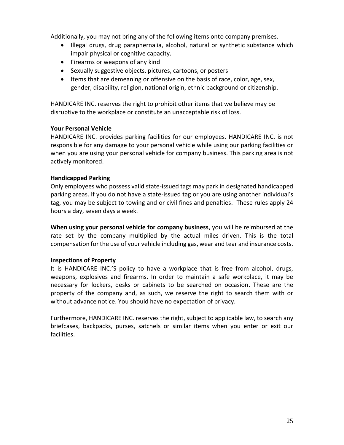Additionally, you may not bring any of the following items onto company premises.

- Illegal drugs, drug paraphernalia, alcohol, natural or synthetic substance which impair physical or cognitive capacity.
- Firearms or weapons of any kind
- Sexually suggestive objects, pictures, cartoons, or posters
- Items that are demeaning or offensive on the basis of race, color, age, sex, gender, disability, religion, national origin, ethnic background or citizenship.

HANDICARE INC. reserves the right to prohibit other items that we believe may be disruptive to the workplace or constitute an unacceptable risk of loss.

## **Your Personal Vehicle**

HANDICARE INC. provides parking facilities for our employees. HANDICARE INC. is not responsible for any damage to your personal vehicle while using our parking facilities or when you are using your personal vehicle for company business. This parking area is not actively monitored.

## **Handicapped Parking**

Only employees who possess valid state-issued tags may park in designated handicapped parking areas. If you do not have a state-issued tag or you are using another individual's tag, you may be subject to towing and or civil fines and penalties. These rules apply 24 hours a day, seven days a week.

**When using your personal vehicle for company business**, you will be reimbursed at the rate set by the company multiplied by the actual miles driven. This is the total compensation for the use of your vehicle including gas, wear and tear and insurance costs.

## **Inspections of Property**

It is HANDICARE INC.'S policy to have a workplace that is free from alcohol, drugs, weapons, explosives and firearms. In order to maintain a safe workplace, it may be necessary for lockers, desks or cabinets to be searched on occasion. These are the property of the company and, as such, we reserve the right to search them with or without advance notice. You should have no expectation of privacy.

Furthermore, HANDICARE INC. reserves the right, subject to applicable law, to search any briefcases, backpacks, purses, satchels or similar items when you enter or exit our facilities.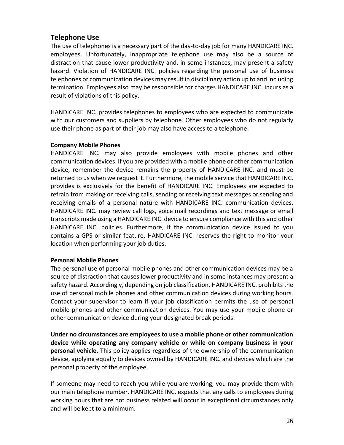## **Telephone Use**

The use of telephones is a necessary part of the day-to-day job for many HANDICARE INC. employees. Unfortunately, inappropriate telephone use may also be a source of distraction that cause lower productivity and, in some instances, may present a safety hazard. Violation of HANDICARE INC. policies regarding the personal use of business telephones or communication devices may result in disciplinary action up to and including termination. Employees also may be responsible for charges HANDICARE INC. incurs as a result of violations of this policy.

HANDICARE INC. provides telephones to employees who are expected to communicate with our customers and suppliers by telephone. Other employees who do not regularly use their phone as part of their job may also have access to a telephone.

#### **Company Mobile Phones**

HANDICARE INC. may also provide employees with mobile phones and other communication devices. If you are provided with a mobile phone or other communication device, remember the device remains the property of HANDICARE INC. and must be returned to us when we request it. Furthermore, the mobile service that HANDICARE INC. provides is exclusively for the benefit of HANDICARE INC. Employees are expected to refrain from making or receiving calls, sending or receiving text messages or sending and receiving emails of a personal nature with HANDICARE INC. communication devices. HANDICARE INC. may review call logs, voice mail recordings and text message or email transcripts made using a HANDICARE INC. device to ensure compliance with this and other HANDICARE INC. policies. Furthermore, if the communication device issued to you contains a GPS or similar feature, HANDICARE INC. reserves the right to monitor your location when performing your job duties.

#### **Personal Mobile Phones**

The personal use of personal mobile phones and other communication devices may be a source of distraction that causes lower productivity and in some instances may present a safety hazard. Accordingly, depending on job classification, HANDICARE INC. prohibits the use of personal mobile phones and other communication devices during working hours. Contact your supervisor to learn if your job classification permits the use of personal mobile phones and other communication devices. You may use your mobile phone or other communication device during your designated break periods.

**Under no circumstances are employees to use a mobile phone or other communication device while operating any company vehicle or while on company business in your personal vehicle.** This policy applies regardless of the ownership of the communication device, applying equally to devices owned by HANDICARE INC. and devices which are the personal property of the employee.

If someone may need to reach you while you are working, you may provide them with our main telephone number. HANDICARE INC. expects that any calls to employees during working hours that are not business related will occur in exceptional circumstances only and will be kept to a minimum.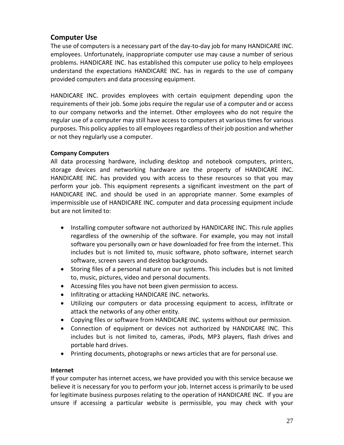# **Computer Use**

The use of computers is a necessary part of the day-to-day job for many HANDICARE INC. employees. Unfortunately, inappropriate computer use may cause a number of serious problems. HANDICARE INC. has established this computer use policy to help employees understand the expectations HANDICARE INC. has in regards to the use of company provided computers and data processing equipment.

HANDICARE INC. provides employees with certain equipment depending upon the requirements of their job. Some jobs require the regular use of a computer and or access to our company networks and the internet. Other employees who do not require the regular use of a computer may still have access to computers at various times for various purposes. This policy applies to all employees regardless of their job position and whether or not they regularly use a computer.

## **Company Computers**

All data processing hardware, including desktop and notebook computers, printers, storage devices and networking hardware are the property of HANDICARE INC. HANDICARE INC. has provided you with access to these resources so that you may perform your job. This equipment represents a significant investment on the part of HANDICARE INC. and should be used in an appropriate manner. Some examples of impermissible use of HANDICARE INC. computer and data processing equipment include but are not limited to:

- Installing computer software not authorized by HANDICARE INC. This rule applies regardless of the ownership of the software. For example, you may not install software you personally own or have downloaded for free from the internet. This includes but is not limited to, music software, photo software, internet search software, screen savers and desktop backgrounds.
- Storing files of a personal nature on our systems. This includes but is not limited to, music, pictures, video and personal documents.
- Accessing files you have not been given permission to access.
- Infiltrating or attacking HANDICARE INC. networks.
- Utilizing our computers or data processing equipment to access, infiltrate or attack the networks of any other entity.
- Copying files or software from HANDICARE INC. systems without our permission.
- Connection of equipment or devices not authorized by HANDICARE INC. This includes but is not limited to, cameras, iPods, MP3 players, flash drives and portable hard drives.
- Printing documents, photographs or news articles that are for personal use.

## **Internet**

If your computer has internet access, we have provided you with this service because we believe it is necessary for you to perform your job. Internet access is primarily to be used for legitimate business purposes relating to the operation of HANDICARE INC. If you are unsure if accessing a particular website is permissible, you may check with your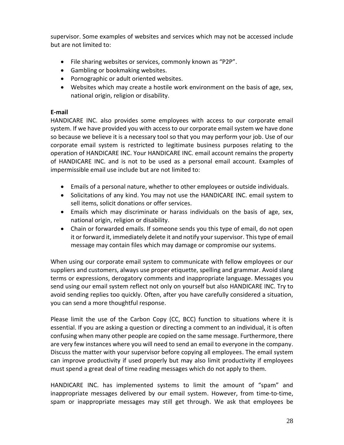supervisor. Some examples of websites and services which may not be accessed include but are not limited to:

- File sharing websites or services, commonly known as "P2P".
- Gambling or bookmaking websites.
- Pornographic or adult oriented websites.
- Websites which may create a hostile work environment on the basis of age, sex, national origin, religion or disability.

## **E-mail**

HANDICARE INC. also provides some employees with access to our corporate email system. If we have provided you with access to our corporate email system we have done so because we believe it is a necessary tool so that you may perform your job. Use of our corporate email system is restricted to legitimate business purposes relating to the operation of HANDICARE INC. Your HANDICARE INC. email account remains the property of HANDICARE INC. and is not to be used as a personal email account. Examples of impermissible email use include but are not limited to:

- Emails of a personal nature, whether to other employees or outside individuals.
- Solicitations of any kind. You may not use the HANDICARE INC. email system to sell items, solicit donations or offer services.
- Emails which may discriminate or harass individuals on the basis of age, sex, national origin, religion or disability.
- Chain or forwarded emails. If someone sends you this type of email, do not open it or forward it, immediately delete it and notify your supervisor. This type of email message may contain files which may damage or compromise our systems.

When using our corporate email system to communicate with fellow employees or our suppliers and customers, always use proper etiquette, spelling and grammar. Avoid slang terms or expressions, derogatory comments and inappropriate language. Messages you send using our email system reflect not only on yourself but also HANDICARE INC. Try to avoid sending replies too quickly. Often, after you have carefully considered a situation, you can send a more thoughtful response.

Please limit the use of the Carbon Copy (CC, BCC) function to situations where it is essential. If you are asking a question or directing a comment to an individual, it is often confusing when many other people are copied on the same message. Furthermore, there are very few instances where you will need to send an email to everyone in the company. Discuss the matter with your supervisor before copying all employees. The email system can improve productivity if used properly but may also limit productivity if employees must spend a great deal of time reading messages which do not apply to them.

HANDICARE INC. has implemented systems to limit the amount of "spam" and inappropriate messages delivered by our email system. However, from time-to-time, spam or inappropriate messages may still get through. We ask that employees be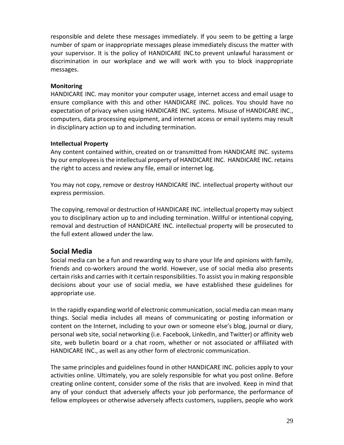responsible and delete these messages immediately. If you seem to be getting a large number of spam or inappropriate messages please immediately discuss the matter with your supervisor. It is the policy of HANDICARE INC.to prevent unlawful harassment or discrimination in our workplace and we will work with you to block inappropriate messages.

#### **Monitoring**

HANDICARE INC. may monitor your computer usage, internet access and email usage to ensure compliance with this and other HANDICARE INC. polices. You should have no expectation of privacy when using HANDICARE INC. systems. Misuse of HANDICARE INC., computers, data processing equipment, and internet access or email systems may result in disciplinary action up to and including termination.

#### **Intellectual Property**

Any content contained within, created on or transmitted from HANDICARE INC. systems by our employees is the intellectual property of HANDICARE INC. HANDICARE INC. retains the right to access and review any file, email or internet log.

You may not copy, remove or destroy HANDICARE INC. intellectual property without our express permission.

The copying, removal or destruction of HANDICARE INC. intellectual property may subject you to disciplinary action up to and including termination. Willful or intentional copying, removal and destruction of HANDICARE INC. intellectual property will be prosecuted to the full extent allowed under the law.

## **Social Media**

Social media can be a fun and rewarding way to share your life and opinions with family, friends and co-workers around the world. However, use of social media also presents certain risks and carries with it certain responsibilities. To assist you in making responsible decisions about your use of social media, we have established these guidelines for appropriate use.

In the rapidly expanding world of electronic communication, social media can mean many things. Social media includes all means of communicating or posting information or content on the Internet, including to your own or someone else's blog, journal or diary, personal web site, social networking (i.e. Facebook, LinkedIn, and Twitter) or affinity web site, web bulletin board or a chat room, whether or not associated or affiliated with HANDICARE INC., as well as any other form of electronic communication.

The same principles and guidelines found in other HANDICARE INC. policies apply to your activities online. Ultimately, you are solely responsible for what you post online. Before creating online content, consider some of the risks that are involved. Keep in mind that any of your conduct that adversely affects your job performance, the performance of fellow employees or otherwise adversely affects customers, suppliers, people who work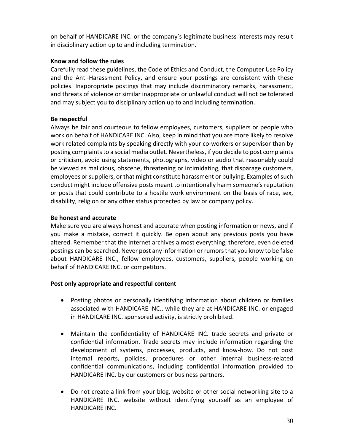on behalf of HANDICARE INC. or the company's legitimate business interests may result in disciplinary action up to and including termination.

## **Know and follow the rules**

Carefully read these guidelines, the Code of Ethics and Conduct, the Computer Use Policy and the Anti-Harassment Policy, and ensure your postings are consistent with these policies. Inappropriate postings that may include discriminatory remarks, harassment, and threats of violence or similar inappropriate or unlawful conduct will not be tolerated and may subject you to disciplinary action up to and including termination.

#### **Be respectful**

Always be fair and courteous to fellow employees, customers, suppliers or people who work on behalf of HANDICARE INC. Also, keep in mind that you are more likely to resolve work related complaints by speaking directly with your co-workers or supervisor than by posting complaints to a social media outlet. Nevertheless, if you decide to post complaints or criticism, avoid using statements, photographs, video or audio that reasonably could be viewed as malicious, obscene, threatening or intimidating, that disparage customers, employees or suppliers, or that might constitute harassment or bullying. Examples of such conduct might include offensive posts meant to intentionally harm someone's reputation or posts that could contribute to a hostile work environment on the basis of race, sex, disability, religion or any other status protected by law or company policy.

#### **Be honest and accurate**

Make sure you are always honest and accurate when posting information or news, and if you make a mistake, correct it quickly. Be open about any previous posts you have altered. Remember that the Internet archives almost everything; therefore, even deleted postings can be searched. Never post any information or rumors that you know to be false about HANDICARE INC., fellow employees, customers, suppliers, people working on behalf of HANDICARE INC. or competitors.

#### **Post only appropriate and respectful content**

- Posting photos or personally identifying information about children or families associated with HANDICARE INC., while they are at HANDICARE INC. or engaged in HANDICARE INC. sponsored activity, is strictly prohibited.
- Maintain the confidentiality of HANDICARE INC. trade secrets and private or confidential information. Trade secrets may include information regarding the development of systems, processes, products, and know-how. Do not post internal reports, policies, procedures or other internal business-related confidential communications, including confidential information provided to HANDICARE INC. by our customers or business partners.
- Do not create a link from your blog, website or other social networking site to a HANDICARE INC. website without identifying yourself as an employee of HANDICARE INC.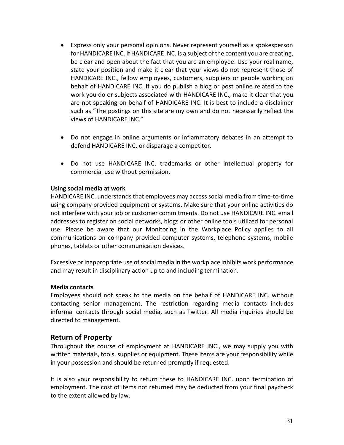- Express only your personal opinions. Never represent yourself as a spokesperson for HANDICARE INC. If HANDICARE INC. is a subject of the content you are creating, be clear and open about the fact that you are an employee. Use your real name, state your position and make it clear that your views do not represent those of HANDICARE INC., fellow employees, customers, suppliers or people working on behalf of HANDICARE INC. If you do publish a blog or post online related to the work you do or subjects associated with HANDICARE INC., make it clear that you are not speaking on behalf of HANDICARE INC. It is best to include a disclaimer such as "The postings on this site are my own and do not necessarily reflect the views of HANDICARE INC."
- Do not engage in online arguments or inflammatory debates in an attempt to defend HANDICARE INC. or disparage a competitor.
- Do not use HANDICARE INC. trademarks or other intellectual property for commercial use without permission.

#### **Using social media at work**

HANDICARE INC. understands that employees may access social media from time-to-time using company provided equipment or systems. Make sure that your online activities do not interfere with your job or customer commitments. Do not use HANDICARE INC. email addresses to register on social networks, blogs or other online tools utilized for personal use. Please be aware that our Monitoring in the Workplace Policy applies to all communications on company provided computer systems, telephone systems, mobile phones, tablets or other communication devices.

Excessive or inappropriate use of social media in the workplace inhibits work performance and may result in disciplinary action up to and including termination.

#### **Media contacts**

Employees should not speak to the media on the behalf of HANDICARE INC. without contacting senior management. The restriction regarding media contacts includes informal contacts through social media, such as Twitter. All media inquiries should be directed to management.

## **Return of Property**

Throughout the course of employment at HANDICARE INC., we may supply you with written materials, tools, supplies or equipment. These items are your responsibility while in your possession and should be returned promptly if requested.

It is also your responsibility to return these to HANDICARE INC. upon termination of employment. The cost of items not returned may be deducted from your final paycheck to the extent allowed by law.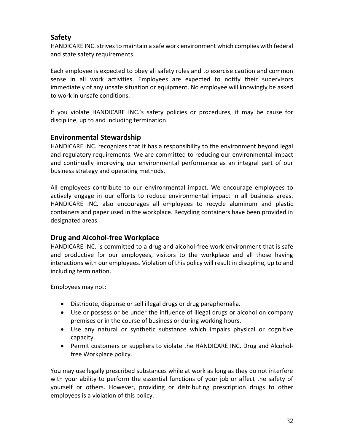# **Safety**

HANDICARE INC. strives to maintain a safe work environment which complies with federal and state safety requirements.

Each employee is expected to obey all safety rules and to exercise caution and common sense in all work activities. Employees are expected to notify their supervisors immediately of any unsafe situation or equipment. No employee will knowingly be asked to work in unsafe conditions.

If you violate HANDICARE INC.'s safety policies or procedures, it may be cause for discipline, up to and including termination.

# **Environmental Stewardship**

HANDICARE INC. recognizes that it has a responsibility to the environment beyond legal and regulatory requirements. We are committed to reducing our environmental impact and continually improving our environmental performance as an integral part of our business strategy and operating methods.

All employees contribute to our environmental impact. We encourage employees to actively engage in our efforts to reduce environmental impact in all business areas. HANDICARE INC. also encourages all employees to recycle aluminum and plastic containers and paper used in the workplace. Recycling containers have been provided in designated areas.

## **Drug and Alcohol-free Workplace**

HANDICARE INC. is committed to a drug and alcohol-free work environment that is safe and productive for our employees, visitors to the workplace and all those having interactions with our employees. Violation of this policy will result in discipline, up to and including termination.

Employees may not:

- Distribute, dispense or sell illegal drugs or drug paraphernalia.
- Use or possess or be under the influence of illegal drugs or alcohol on company premises or in the course of business or during working hours.
- Use any natural or synthetic substance which impairs physical or cognitive capacity.
- Permit customers or suppliers to violate the HANDICARE INC. Drug and Alcoholfree Workplace policy.

You may use legally prescribed substances while at work as long as they do not interfere with your ability to perform the essential functions of your job or affect the safety of yourself or others. However, providing or distributing prescription drugs to other employees is a violation of this policy.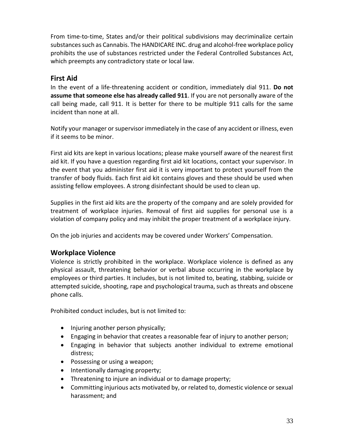From time-to-time, States and/or their political subdivisions may decriminalize certain substances such as Cannabis. The HANDICARE INC. drug and alcohol-free workplace policy prohibits the use of substances restricted under the Federal Controlled Substances Act, which preempts any contradictory state or local law.

# **First Aid**

In the event of a life-threatening accident or condition, immediately dial 911. **Do not assume that someone else has already called 911**. If you are not personally aware of the call being made, call 911. It is better for there to be multiple 911 calls for the same incident than none at all.

Notify your manager or supervisor immediately in the case of any accident or illness, even if it seems to be minor.

First aid kits are kept in various locations; please make yourself aware of the nearest first aid kit. If you have a question regarding first aid kit locations, contact your supervisor. In the event that you administer first aid it is very important to protect yourself from the transfer of body fluids. Each first aid kit contains gloves and these should be used when assisting fellow employees. A strong disinfectant should be used to clean up.

Supplies in the first aid kits are the property of the company and are solely provided for treatment of workplace injuries. Removal of first aid supplies for personal use is a violation of company policy and may inhibit the proper treatment of a workplace injury.

On the job injuries and accidents may be covered under Workers' Compensation.

## **Workplace Violence**

Violence is strictly prohibited in the workplace. Workplace violence is defined as any physical assault, threatening behavior or verbal abuse occurring in the workplace by employees or third parties. It includes, but is not limited to, beating, stabbing, suicide or attempted suicide, shooting, rape and psychological trauma, such as threats and obscene phone calls.

Prohibited conduct includes, but is not limited to:

- $\bullet$  Injuring another person physically;
- Engaging in behavior that creates a reasonable fear of injury to another person;
- Engaging in behavior that subjects another individual to extreme emotional distress;
- Possessing or using a weapon;
- Intentionally damaging property;
- Threatening to injure an individual or to damage property;
- Committing injurious acts motivated by, or related to, domestic violence or sexual harassment; and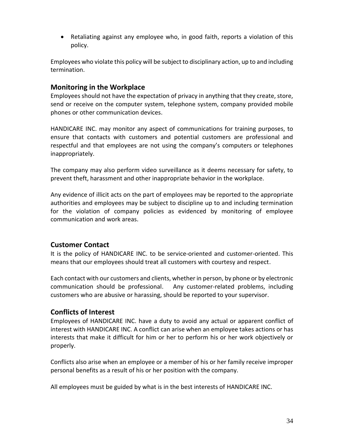Retaliating against any employee who, in good faith, reports a violation of this policy.

Employees who violate this policy will be subject to disciplinary action, up to and including termination.

# **Monitoring in the Workplace**

Employees should not have the expectation of privacy in anything that they create, store, send or receive on the computer system, telephone system, company provided mobile phones or other communication devices.

HANDICARE INC. may monitor any aspect of communications for training purposes, to ensure that contacts with customers and potential customers are professional and respectful and that employees are not using the company's computers or telephones inappropriately.

The company may also perform video surveillance as it deems necessary for safety, to prevent theft, harassment and other inappropriate behavior in the workplace.

Any evidence of illicit acts on the part of employees may be reported to the appropriate authorities and employees may be subject to discipline up to and including termination for the violation of company policies as evidenced by monitoring of employee communication and work areas.

# **Customer Contact**

It is the policy of HANDICARE INC. to be service-oriented and customer-oriented. This means that our employees should treat all customers with courtesy and respect.

Each contact with our customers and clients, whether in person, by phone or by electronic communication should be professional. Any customer-related problems, including customers who are abusive or harassing, should be reported to your supervisor.

## **Conflicts of Interest**

Employees of HANDICARE INC. have a duty to avoid any actual or apparent conflict of interest with HANDICARE INC. A conflict can arise when an employee takes actions or has interests that make it difficult for him or her to perform his or her work objectively or properly.

Conflicts also arise when an employee or a member of his or her family receive improper personal benefits as a result of his or her position with the company.

All employees must be guided by what is in the best interests of HANDICARE INC.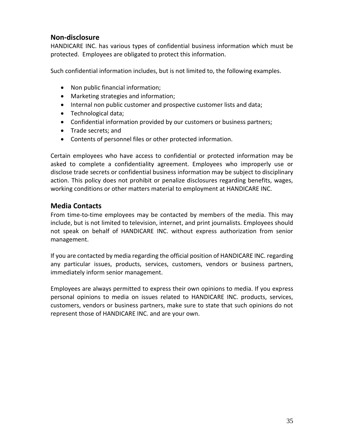# **Non-disclosure**

HANDICARE INC. has various types of confidential business information which must be protected. Employees are obligated to protect this information.

Such confidential information includes, but is not limited to, the following examples.

- Non public financial information;
- Marketing strategies and information;
- Internal non public customer and prospective customer lists and data;
- Technological data;
- Confidential information provided by our customers or business partners;
- Trade secrets; and
- Contents of personnel files or other protected information.

Certain employees who have access to confidential or protected information may be asked to complete a confidentiality agreement. Employees who improperly use or disclose trade secrets or confidential business information may be subject to disciplinary action. This policy does not prohibit or penalize disclosures regarding benefits, wages, working conditions or other matters material to employment at HANDICARE INC.

## **Media Contacts**

From time-to-time employees may be contacted by members of the media. This may include, but is not limited to television, internet, and print journalists. Employees should not speak on behalf of HANDICARE INC. without express authorization from senior management.

If you are contacted by media regarding the official position of HANDICARE INC. regarding any particular issues, products, services, customers, vendors or business partners, immediately inform senior management.

Employees are always permitted to express their own opinions to media. If you express personal opinions to media on issues related to HANDICARE INC. products, services, customers, vendors or business partners, make sure to state that such opinions do not represent those of HANDICARE INC. and are your own.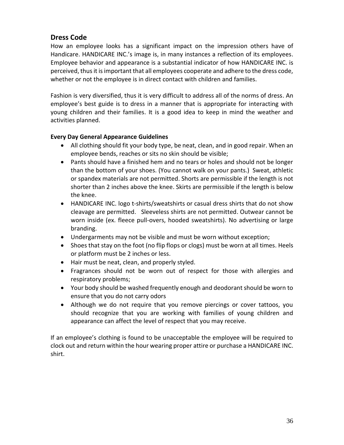# **Dress Code**

How an employee looks has a significant impact on the impression others have of Handicare. HANDICARE INC.'s image is, in many instances a reflection of its employees. Employee behavior and appearance is a substantial indicator of how HANDICARE INC. is perceived, thus it is important that all employees cooperate and adhere to the dress code, whether or not the employee is in direct contact with children and families.

Fashion is very diversified, thus it is very difficult to address all of the norms of dress. An employee's best guide is to dress in a manner that is appropriate for interacting with young children and their families. It is a good idea to keep in mind the weather and activities planned.

## **Every Day General Appearance Guidelines**

- All clothing should fit your body type, be neat, clean, and in good repair. When an employee bends, reaches or sits no skin should be visible;
- Pants should have a finished hem and no tears or holes and should not be longer than the bottom of your shoes. (You cannot walk on your pants.) Sweat, athletic or spandex materials are not permitted. Shorts are permissible if the length is not shorter than 2 inches above the knee. Skirts are permissible if the length is below the knee.
- HANDICARE INC. logo t-shirts/sweatshirts or casual dress shirts that do not show cleavage are permitted. Sleeveless shirts are not permitted. Outwear cannot be worn inside (ex. fleece pull-overs, hooded sweatshirts). No advertising or large branding.
- Undergarments may not be visible and must be worn without exception;
- Shoes that stay on the foot (no flip flops or clogs) must be worn at all times. Heels or platform must be 2 inches or less.
- Hair must be neat, clean, and properly styled.
- Fragrances should not be worn out of respect for those with allergies and respiratory problems;
- Your body should be washed frequently enough and deodorant should be worn to ensure that you do not carry odors
- Although we do not require that you remove piercings or cover tattoos, you should recognize that you are working with families of young children and appearance can affect the level of respect that you may receive.

If an employee's clothing is found to be unacceptable the employee will be required to clock out and return within the hour wearing proper attire or purchase a HANDICARE INC. shirt.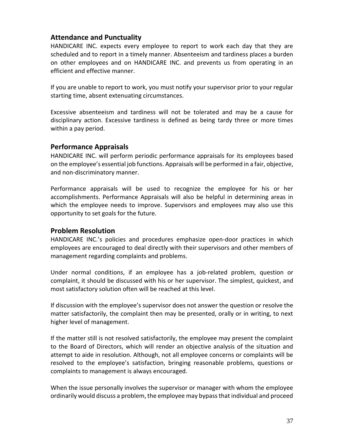## **Attendance and Punctuality**

HANDICARE INC. expects every employee to report to work each day that they are scheduled and to report in a timely manner. Absenteeism and tardiness places a burden on other employees and on HANDICARE INC. and prevents us from operating in an efficient and effective manner.

If you are unable to report to work, you must notify your supervisor prior to your regular starting time, absent extenuating circumstances.

Excessive absenteeism and tardiness will not be tolerated and may be a cause for disciplinary action. Excessive tardiness is defined as being tardy three or more times within a pay period.

## **Performance Appraisals**

HANDICARE INC. will perform periodic performance appraisals for its employees based on the employee's essential job functions. Appraisals will be performed in a fair, objective, and non-discriminatory manner.

Performance appraisals will be used to recognize the employee for his or her accomplishments. Performance Appraisals will also be helpful in determining areas in which the employee needs to improve. Supervisors and employees may also use this opportunity to set goals for the future.

## **Problem Resolution**

HANDICARE INC.'s policies and procedures emphasize open-door practices in which employees are encouraged to deal directly with their supervisors and other members of management regarding complaints and problems.

Under normal conditions, if an employee has a job-related problem, question or complaint, it should be discussed with his or her supervisor. The simplest, quickest, and most satisfactory solution often will be reached at this level.

If discussion with the employee's supervisor does not answer the question or resolve the matter satisfactorily, the complaint then may be presented, orally or in writing, to next higher level of management.

If the matter still is not resolved satisfactorily, the employee may present the complaint to the Board of Directors, which will render an objective analysis of the situation and attempt to aide in resolution. Although, not all employee concerns or complaints will be resolved to the employee's satisfaction, bringing reasonable problems, questions or complaints to management is always encouraged.

When the issue personally involves the supervisor or manager with whom the employee ordinarily would discuss a problem, the employee may bypass that individual and proceed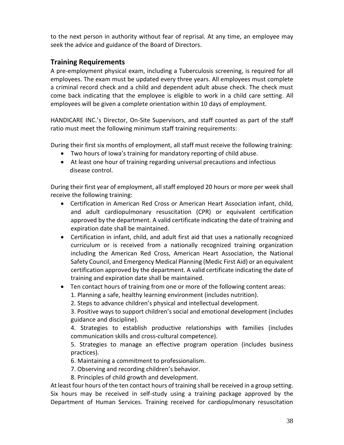to the next person in authority without fear of reprisal. At any time, an employee may seek the advice and guidance of the Board of Directors.

# **Training Requirements**

A pre-employment physical exam, including a Tuberculosis screening, is required for all employees. The exam must be updated every three years. All employees must complete a criminal record check and a child and dependent adult abuse check. The check must come back indicating that the employee is eligible to work in a child care setting. All employees will be given a complete orientation within 10 days of employment.

HANDICARE INC.'s Director, On-Site Supervisors, and staff counted as part of the staff ratio must meet the following minimum staff training requirements:

During their first six months of employment, all staff must receive the following training:

- Two hours of Iowa's training for mandatory reporting of child abuse.
- At least one hour of training regarding universal precautions and infectious disease control.

During their first year of employment, all staff employed 20 hours or more per week shall receive the following training:

- Certification in American Red Cross or American Heart Association infant, child, and adult cardiopulmonary resuscitation (CPR) or equivalent certification approved by the department. A valid certificate indicating the date of training and expiration date shall be maintained.
- Certification in infant, child, and adult first aid that uses a nationally recognized curriculum or is received from a nationally recognized training organization including the American Red Cross, American Heart Association, the National Safety Council, and Emergency Medical Planning (Medic First Aid) or an equivalent certification approved by the department. A valid certificate indicating the date of training and expiration date shall be maintained.
- Ten contact hours of training from one or more of the following content areas: 1. Planning a safe, healthy learning environment (includes nutrition).

2. Steps to advance children's physical and intellectual development.

3. Positive ways to support children's social and emotional development (includes guidance and discipline).

4. Strategies to establish productive relationships with families (includes communication skills and cross-cultural competence).

5. Strategies to manage an effective program operation (includes business practices).

6. Maintaining a commitment to professionalism.

- 7. Observing and recording children's behavior.
- 8. Principles of child growth and development.

At least four hours of the ten contact hours of training shall be received in a group setting. Six hours may be received in self-study using a training package approved by the Department of Human Services. Training received for cardiopulmonary resuscitation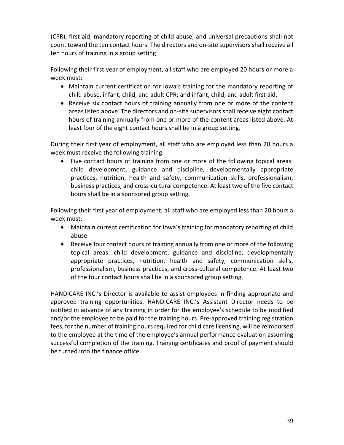(CPR), first aid, mandatory reporting of child abuse, and universal precautions shall not count toward the ten contact hours. The directors and on-site supervisors shall receive all ten hours of training in a group setting

Following their first year of employment, all staff who are employed 20 hours or more a week must:

- Maintain current certification for Iowa's training for the mandatory reporting of child abuse, infant, child, and adult CPR; and infant, child, and adult first aid.
- Receive six contact hours of training annually from one or more of the content areas listed above. The directors and on-site supervisors shall receive eight contact hours of training annually from one or more of the content areas listed above. At least four of the eight contact hours shall be in a group setting.

During their first year of employment, all staff who are employed less than 20 hours a week must receive the following training:

• Five contact hours of training from one or more of the following topical areas: child development, guidance and discipline, developmentally appropriate practices, nutrition, health and safety, communication skills, professionalism, business practices, and cross-cultural competence. At least two of the five contact hours shall be in a sponsored group setting.

Following their first year of employment, all staff who are employed less than 20 hours a week must:

- Maintain current certification for Iowa's training for mandatory reporting of child abuse.
- Receive four contact hours of training annually from one or more of the following topical areas: child development, guidance and discipline, developmentally appropriate practices, nutrition, health and safety, communication skills, professionalism, business practices, and cross-cultural competence. At least two of the four contact hours shall be in a sponsored group setting.

HANDICARE INC.'s Director is available to assist employees in finding appropriate and approved training opportunities. HANDICARE INC.'s Assistant Director needs to be notified in advance of any training in order for the employee's schedule to be modified and/or the employee to be paid for the training hours. Pre-approved training registration fees, for the number of training hours required for child care licensing, will be reimbursed to the employee at the time of the employee's annual performance evaluation assuming successful completion of the training. Training certificates and proof of payment should be turned into the finance office.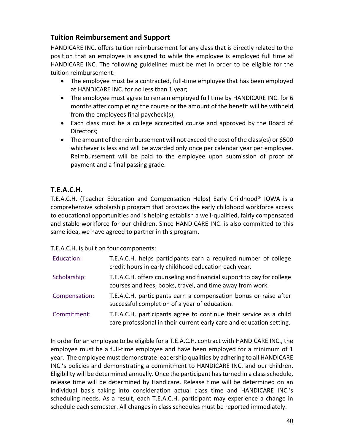# **Tuition Reimbursement and Support**

HANDICARE INC. offers tuition reimbursement for any class that is directly related to the position that an employee is assigned to while the employee is employed full time at HANDICARE INC. The following guidelines must be met in order to be eligible for the tuition reimbursement:

- The employee must be a contracted, full-time employee that has been employed at HANDICARE INC. for no less than 1 year;
- The employee must agree to remain employed full time by HANDICARE INC. for 6 months after completing the course or the amount of the benefit will be withheld from the employees final paycheck(s);
- Each class must be a college accredited course and approved by the Board of Directors;
- The amount of the reimbursement will not exceed the cost of the class(es) or \$500 whichever is less and will be awarded only once per calendar year per employee. Reimbursement will be paid to the employee upon submission of proof of payment and a final passing grade.

# **T.E.A.C.H.**

T.E.A.C.H. (Teacher Education and Compensation Helps) Early Childhood® IOWA is a comprehensive scholarship program that provides the early childhood workforce access to educational opportunities and is helping establish a well-qualified, fairly compensated and stable workforce for our children. Since HANDICARE INC. is also committed to this same idea, we have agreed to partner in this program.

T.E.A.C.H. is built on four components:

| Education:    | T.E.A.C.H. helps participants earn a required number of college<br>credit hours in early childhood education each year.                    |
|---------------|--------------------------------------------------------------------------------------------------------------------------------------------|
| Scholarship:  | T.E.A.C.H. offers counseling and financial support to pay for college<br>courses and fees, books, travel, and time away from work.         |
| Compensation: | T.E.A.C.H. participants earn a compensation bonus or raise after<br>successful completion of a year of education.                          |
| Commitment:   | T.E.A.C.H. participants agree to continue their service as a child<br>care professional in their current early care and education setting. |

In order for an employee to be eligible for a T.E.A.C.H. contract with HANDICARE INC., the employee must be a full-time employee and have been employed for a minimum of 1 year. The employee must demonstrate leadership qualities by adhering to all HANDICARE INC.'s policies and demonstrating a commitment to HANDICARE INC. and our children. Eligibility will be determined annually. Once the participant has turned in a class schedule, release time will be determined by Handicare. Release time will be determined on an individual basis taking into consideration actual class time and HANDICARE INC.'s scheduling needs. As a result, each T.E.A.C.H. participant may experience a change in schedule each semester. All changes in class schedules must be reported immediately.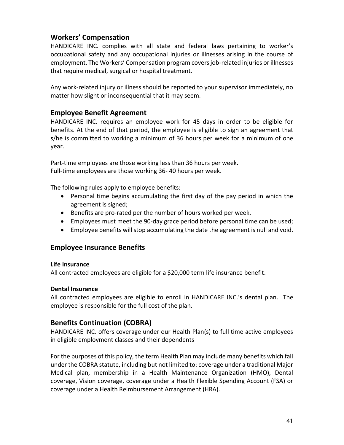# **Workers' Compensation**

HANDICARE INC. complies with all state and federal laws pertaining to worker's occupational safety and any occupational injuries or illnesses arising in the course of employment. The Workers' Compensation program covers job-related injuries or illnesses that require medical, surgical or hospital treatment.

Any work-related injury or illness should be reported to your supervisor immediately, no matter how slight or inconsequential that it may seem.

## **Employee Benefit Agreement**

HANDICARE INC. requires an employee work for 45 days in order to be eligible for benefits. At the end of that period, the employee is eligible to sign an agreement that s/he is committed to working a minimum of 36 hours per week for a minimum of one year.

Part-time employees are those working less than 36 hours per week. Full-time employees are those working 36- 40 hours per week.

The following rules apply to employee benefits:

- Personal time begins accumulating the first day of the pay period in which the agreement is signed;
- Benefits are pro-rated per the number of hours worked per week.
- Employees must meet the 90-day grace period before personal time can be used;
- Employee benefits will stop accumulating the date the agreement is null and void.

## **Employee Insurance Benefits**

#### **Life Insurance**

All contracted employees are eligible for a \$20,000 term life insurance benefit.

## **Dental Insurance**

All contracted employees are eligible to enroll in HANDICARE INC.'s dental plan. The employee is responsible for the full cost of the plan.

## **Benefits Continuation (COBRA)**

HANDICARE INC. offers coverage under our Health Plan(s) to full time active employees in eligible employment classes and their dependents

For the purposes of this policy, the term Health Plan may include many benefits which fall under the COBRA statute, including but not limited to: coverage under a traditional Major Medical plan, membership in a Health Maintenance Organization (HMO), Dental coverage, Vision coverage, coverage under a Health Flexible Spending Account (FSA) or coverage under a Health Reimbursement Arrangement (HRA).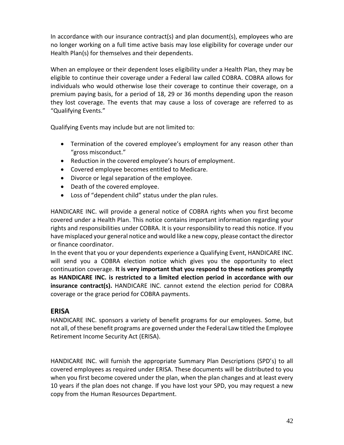In accordance with our insurance contract(s) and plan document(s), employees who are no longer working on a full time active basis may lose eligibility for coverage under our Health Plan(s) for themselves and their dependents.

When an employee or their dependent loses eligibility under a Health Plan, they may be eligible to continue their coverage under a Federal law called COBRA. COBRA allows for individuals who would otherwise lose their coverage to continue their coverage, on a premium paying basis, for a period of 18, 29 or 36 months depending upon the reason they lost coverage. The events that may cause a loss of coverage are referred to as "Qualifying Events."

Qualifying Events may include but are not limited to:

- Termination of the covered employee's employment for any reason other than "gross misconduct."
- Reduction in the covered employee's hours of employment.
- Covered employee becomes entitled to Medicare.
- Divorce or legal separation of the employee.
- Death of the covered employee.
- Loss of "dependent child" status under the plan rules.

HANDICARE INC. will provide a general notice of COBRA rights when you first become covered under a Health Plan. This notice contains important information regarding your rights and responsibilities under COBRA. It is your responsibility to read this notice. If you have misplaced your general notice and would like a new copy, please contact the director or finance coordinator.

In the event that you or your dependents experience a Qualifying Event, HANDICARE INC. will send you a COBRA election notice which gives you the opportunity to elect continuation coverage. **It is very important that you respond to these notices promptly as HANDICARE INC. is restricted to a limited election period in accordance with our insurance contract(s).** HANDICARE INC. cannot extend the election period for COBRA coverage or the grace period for COBRA payments.

# **ERISA**

HANDICARE INC. sponsors a variety of benefit programs for our employees. Some, but not all, of these benefit programs are governed under the Federal Law titled the Employee Retirement Income Security Act (ERISA).

HANDICARE INC. will furnish the appropriate Summary Plan Descriptions (SPD's) to all covered employees as required under ERISA. These documents will be distributed to you when you first become covered under the plan, when the plan changes and at least every 10 years if the plan does not change. If you have lost your SPD, you may request a new copy from the Human Resources Department.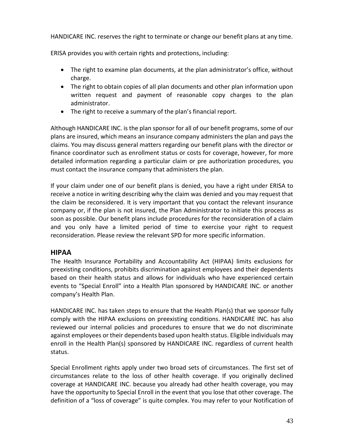HANDICARE INC. reserves the right to terminate or change our benefit plans at any time.

ERISA provides you with certain rights and protections, including:

- The right to examine plan documents, at the plan administrator's office, without charge.
- The right to obtain copies of all plan documents and other plan information upon written request and payment of reasonable copy charges to the plan administrator.
- The right to receive a summary of the plan's financial report.

Although HANDICARE INC. is the plan sponsor for all of our benefit programs, some of our plans are insured, which means an insurance company administers the plan and pays the claims. You may discuss general matters regarding our benefit plans with the director or finance coordinator such as enrollment status or costs for coverage, however, for more detailed information regarding a particular claim or pre authorization procedures, you must contact the insurance company that administers the plan.

If your claim under one of our benefit plans is denied, you have a right under ERISA to receive a notice in writing describing why the claim was denied and you may request that the claim be reconsidered. It is very important that you contact the relevant insurance company or, if the plan is not insured, the Plan Administrator to initiate this process as soon as possible. Our benefit plans include procedures for the reconsideration of a claim and you only have a limited period of time to exercise your right to request reconsideration. Please review the relevant SPD for more specific information.

## **HIPAA**

The Health Insurance Portability and Accountability Act (HIPAA) limits exclusions for preexisting conditions, prohibits discrimination against employees and their dependents based on their health status and allows for individuals who have experienced certain events to "Special Enroll" into a Health Plan sponsored by HANDICARE INC. or another company's Health Plan.

HANDICARE INC. has taken steps to ensure that the Health Plan(s) that we sponsor fully comply with the HIPAA exclusions on preexisting conditions. HANDICARE INC. has also reviewed our internal policies and procedures to ensure that we do not discriminate against employees or their dependents based upon health status. Eligible individuals may enroll in the Health Plan(s) sponsored by HANDICARE INC. regardless of current health status.

Special Enrollment rights apply under two broad sets of circumstances. The first set of circumstances relate to the loss of other health coverage. If you originally declined coverage at HANDICARE INC. because you already had other health coverage, you may have the opportunity to Special Enroll in the event that you lose that other coverage. The definition of a "loss of coverage" is quite complex. You may refer to your Notification of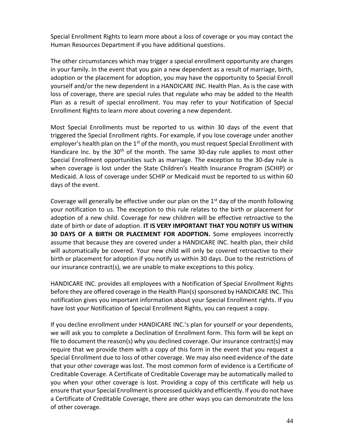Special Enrollment Rights to learn more about a loss of coverage or you may contact the Human Resources Department if you have additional questions.

The other circumstances which may trigger a special enrollment opportunity are changes in your family. In the event that you gain a new dependent as a result of marriage, birth, adoption or the placement for adoption, you may have the opportunity to Special Enroll yourself and/or the new dependent in a HANDICARE INC. Health Plan. As is the case with loss of coverage, there are special rules that regulate who may be added to the Health Plan as a result of special enrollment. You may refer to your Notification of Special Enrollment Rights to learn more about covering a new dependent.

Most Special Enrollments must be reported to us within 30 days of the event that triggered the Special Enrollment rights. For example, if you lose coverage under another employer's health plan on the  $1<sup>st</sup>$  of the month, you must request Special Enrollment with Handicare Inc. by the  $30<sup>th</sup>$  of the month. The same  $30$ -day rule applies to most other Special Enrollment opportunities such as marriage. The exception to the 30-day rule is when coverage is lost under the State Children's Health Insurance Program (SCHIP) or Medicaid. A loss of coverage under SCHIP or Medicaid must be reported to us within 60 days of the event.

Coverage will generally be effective under our plan on the  $1<sup>st</sup>$  day of the month following your notification to us. The exception to this rule relates to the birth or placement for adoption of a new child. Coverage for new children will be effective retroactive to the date of birth or date of adoption. **IT IS VERY IMPORTANT THAT YOU NOTIFY US WITHIN 30 DAYS OF A BIRTH OR PLACEMENT FOR ADOPTION.** Some employees incorrectly assume that because they are covered under a HANDICARE INC. health plan, their child will automatically be covered. Your new child will only be covered retroactive to their birth or placement for adoption if you notify us within 30 days. Due to the restrictions of our insurance contract(s), we are unable to make exceptions to this policy.

HANDICARE INC. provides all employees with a Notification of Special Enrollment Rights before they are offered coverage in the Health Plan(s) sponsored by HANDICARE INC. This notification gives you important information about your Special Enrollment rights. If you have lost your Notification of Special Enrollment Rights, you can request a copy.

If you decline enrollment under HANDICARE INC.'s plan for yourself or your dependents, we will ask you to complete a Declination of Enrollment form. This form will be kept on file to document the reason(s) why you declined coverage. Our insurance contract(s) may require that we provide them with a copy of this form in the event that you request a Special Enrollment due to loss of other coverage. We may also need evidence of the date that your other coverage was lost. The most common form of evidence is a Certificate of Creditable Coverage. A Certificate of Creditable Coverage may be automatically mailed to you when your other coverage is lost. Providing a copy of this certificate will help us ensure that your Special Enrollment is processed quickly and efficiently. If you do not have a Certificate of Creditable Coverage, there are other ways you can demonstrate the loss of other coverage.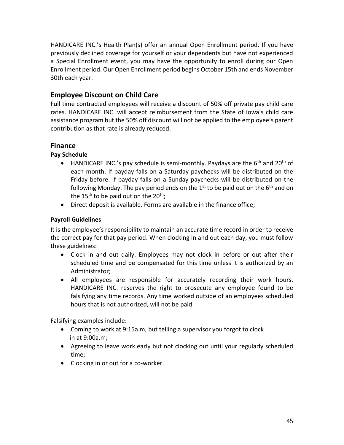HANDICARE INC.'s Health Plan(s) offer an annual Open Enrollment period. If you have previously declined coverage for yourself or your dependents but have not experienced a Special Enrollment event, you may have the opportunity to enroll during our Open Enrollment period. Our Open Enrollment period begins October 15th and ends November 30th each year.

# **Employee Discount on Child Care**

Full time contracted employees will receive a discount of 50% off private pay child care rates. HANDICARE INC. will accept reimbursement from the State of Iowa's child care assistance program but the 50% off discount will not be applied to the employee's parent contribution as that rate is already reduced.

# **Finance**

## **Pay Schedule**

- HANDICARE INC.'s pay schedule is semi-monthly. Paydays are the  $6<sup>th</sup>$  and  $20<sup>th</sup>$  of each month. If payday falls on a Saturday paychecks will be distributed on the Friday before. If payday falls on a Sunday paychecks will be distributed on the following Monday. The pay period ends on the  $1<sup>st</sup>$  to be paid out on the  $6<sup>th</sup>$  and on the 15<sup>th</sup> to be paid out on the 20<sup>th</sup>;
- Direct deposit is available. Forms are available in the finance office;

## **Payroll Guidelines**

It is the employee's responsibility to maintain an accurate time record in order to receive the correct pay for that pay period. When clocking in and out each day, you must follow these guidelines:

- Clock in and out daily. Employees may not clock in before or out after their scheduled time and be compensated for this time unless it is authorized by an Administrator;
- All employees are responsible for accurately recording their work hours. HANDICARE INC. reserves the right to prosecute any employee found to be falsifying any time records. Any time worked outside of an employees scheduled hours that is not authorized, will not be paid.

Falsifying examples include:

- Coming to work at 9:15a.m, but telling a supervisor you forgot to clock in at 9:00a.m;
- Agreeing to leave work early but not clocking out until your regularly scheduled time;
- Clocking in or out for a co-worker.